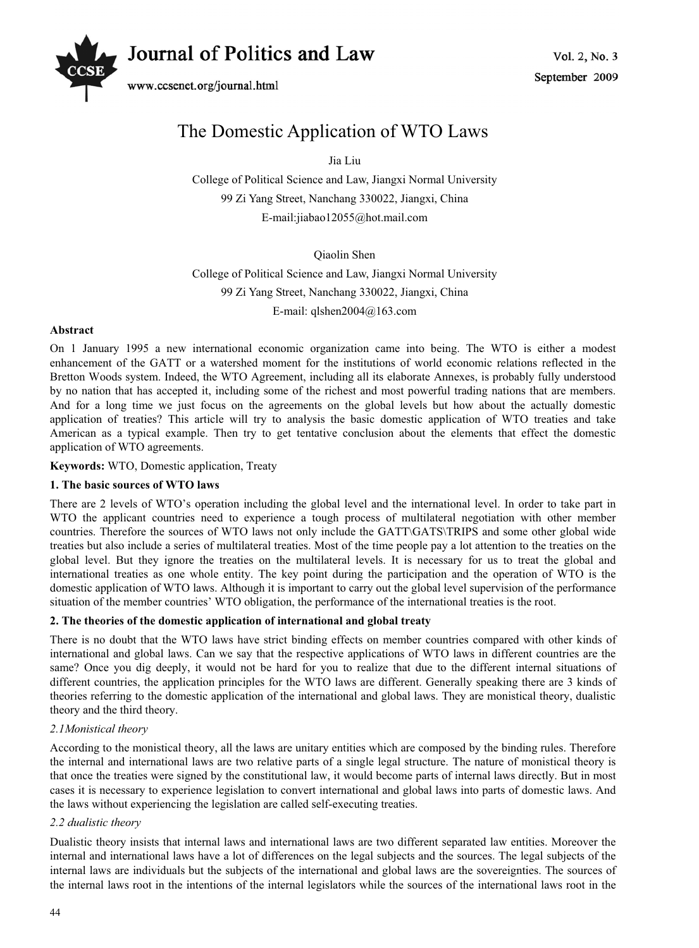

# The Domestic Application of WTO Laws

Jia Liu

College of Political Science and Law, Jiangxi Normal University 99 Zi Yang Street, Nanchang 330022, Jiangxi, China E-mail:jiabao12055@hot.mail.com

# Qiaolin Shen

College of Political Science and Law, Jiangxi Normal University 99 Zi Yang Street, Nanchang 330022, Jiangxi, China E-mail: qlshen2004@163.com

## **Abstract**

On 1 January 1995 a new international economic organization came into being. The WTO is either a modest enhancement of the GATT or a watershed moment for the institutions of world economic relations reflected in the Bretton Woods system. Indeed, the WTO Agreement, including all its elaborate Annexes, is probably fully understood by no nation that has accepted it, including some of the richest and most powerful trading nations that are members. And for a long time we just focus on the agreements on the global levels but how about the actually domestic application of treaties? This article will try to analysis the basic domestic application of WTO treaties and take American as a typical example. Then try to get tentative conclusion about the elements that effect the domestic application of WTO agreements.

**Keywords:** WTO, Domestic application, Treaty

### **1. The basic sources of WTO laws**

There are 2 levels of WTO's operation including the global level and the international level. In order to take part in WTO the applicant countries need to experience a tough process of multilateral negotiation with other member countries. Therefore the sources of WTO laws not only include the GATT\GATS\TRIPS and some other global wide treaties but also include a series of multilateral treaties. Most of the time people pay a lot attention to the treaties on the global level. But they ignore the treaties on the multilateral levels. It is necessary for us to treat the global and international treaties as one whole entity. The key point during the participation and the operation of WTO is the domestic application of WTO laws. Although it is important to carry out the global level supervision of the performance situation of the member countries' WTO obligation, the performance of the international treaties is the root.

# **2. The theories of the domestic application of international and global treaty**

There is no doubt that the WTO laws have strict binding effects on member countries compared with other kinds of international and global laws. Can we say that the respective applications of WTO laws in different countries are the same? Once you dig deeply, it would not be hard for you to realize that due to the different internal situations of different countries, the application principles for the WTO laws are different. Generally speaking there are 3 kinds of theories referring to the domestic application of the international and global laws. They are monistical theory, dualistic theory and the third theory.

## *2.1Monistical theory*

According to the monistical theory, all the laws are unitary entities which are composed by the binding rules. Therefore the internal and international laws are two relative parts of a single legal structure. The nature of monistical theory is that once the treaties were signed by the constitutional law, it would become parts of internal laws directly. But in most cases it is necessary to experience legislation to convert international and global laws into parts of domestic laws. And the laws without experiencing the legislation are called self-executing treaties.

# *2.2 dualistic theory*

Dualistic theory insists that internal laws and international laws are two different separated law entities. Moreover the internal and international laws have a lot of differences on the legal subjects and the sources. The legal subjects of the internal laws are individuals but the subjects of the international and global laws are the sovereignties. The sources of the internal laws root in the intentions of the internal legislators while the sources of the international laws root in the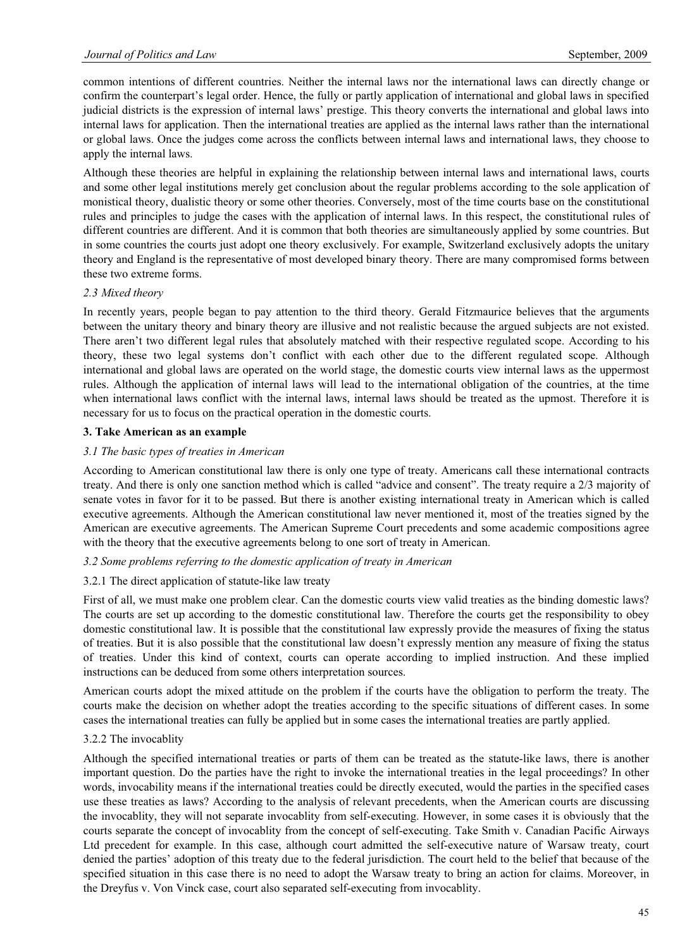common intentions of different countries. Neither the internal laws nor the international laws can directly change or confirm the counterpart's legal order. Hence, the fully or partly application of international and global laws in specified judicial districts is the expression of internal laws' prestige. This theory converts the international and global laws into internal laws for application. Then the international treaties are applied as the internal laws rather than the international or global laws. Once the judges come across the conflicts between internal laws and international laws, they choose to apply the internal laws.

Although these theories are helpful in explaining the relationship between internal laws and international laws, courts and some other legal institutions merely get conclusion about the regular problems according to the sole application of monistical theory, dualistic theory or some other theories. Conversely, most of the time courts base on the constitutional rules and principles to judge the cases with the application of internal laws. In this respect, the constitutional rules of different countries are different. And it is common that both theories are simultaneously applied by some countries. But in some countries the courts just adopt one theory exclusively. For example, Switzerland exclusively adopts the unitary theory and England is the representative of most developed binary theory. There are many compromised forms between these two extreme forms.

## *2.3 Mixed theory*

In recently years, people began to pay attention to the third theory. Gerald Fitzmaurice believes that the arguments between the unitary theory and binary theory are illusive and not realistic because the argued subjects are not existed. There aren't two different legal rules that absolutely matched with their respective regulated scope. According to his theory, these two legal systems don't conflict with each other due to the different regulated scope. Although international and global laws are operated on the world stage, the domestic courts view internal laws as the uppermost rules. Although the application of internal laws will lead to the international obligation of the countries, at the time when international laws conflict with the internal laws, internal laws should be treated as the upmost. Therefore it is necessary for us to focus on the practical operation in the domestic courts.

### **3. Take American as an example**

## *3.1 The basic types of treaties in American*

According to American constitutional law there is only one type of treaty. Americans call these international contracts treaty. And there is only one sanction method which is called "advice and consent". The treaty require a 2/3 majority of senate votes in favor for it to be passed. But there is another existing international treaty in American which is called executive agreements. Although the American constitutional law never mentioned it, most of the treaties signed by the American are executive agreements. The American Supreme Court precedents and some academic compositions agree with the theory that the executive agreements belong to one sort of treaty in American.

### *3.2 Some problems referring to the domestic application of treaty in American*

### 3.2.1 The direct application of statute-like law treaty

First of all, we must make one problem clear. Can the domestic courts view valid treaties as the binding domestic laws? The courts are set up according to the domestic constitutional law. Therefore the courts get the responsibility to obey domestic constitutional law. It is possible that the constitutional law expressly provide the measures of fixing the status of treaties. But it is also possible that the constitutional law doesn't expressly mention any measure of fixing the status of treaties. Under this kind of context, courts can operate according to implied instruction. And these implied instructions can be deduced from some others interpretation sources.

American courts adopt the mixed attitude on the problem if the courts have the obligation to perform the treaty. The courts make the decision on whether adopt the treaties according to the specific situations of different cases. In some cases the international treaties can fully be applied but in some cases the international treaties are partly applied.

### 3.2.2 The invocablity

Although the specified international treaties or parts of them can be treated as the statute-like laws, there is another important question. Do the parties have the right to invoke the international treaties in the legal proceedings? In other words, invocability means if the international treaties could be directly executed, would the parties in the specified cases use these treaties as laws? According to the analysis of relevant precedents, when the American courts are discussing the invocablity, they will not separate invocablity from self-executing. However, in some cases it is obviously that the courts separate the concept of invocablity from the concept of self-executing. Take Smith v. Canadian Pacific Airways Ltd precedent for example. In this case, although court admitted the self-executive nature of Warsaw treaty, court denied the parties' adoption of this treaty due to the federal jurisdiction. The court held to the belief that because of the specified situation in this case there is no need to adopt the Warsaw treaty to bring an action for claims. Moreover, in the Dreyfus v. Von Vinck case, court also separated self-executing from invocablity.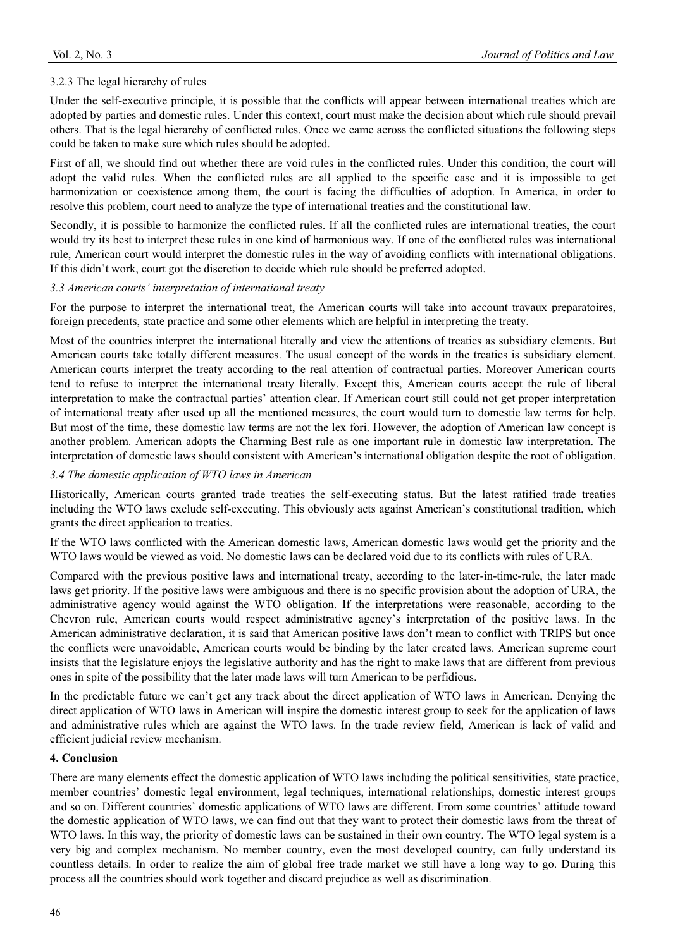# 3.2.3 The legal hierarchy of rules

Under the self-executive principle, it is possible that the conflicts will appear between international treaties which are adopted by parties and domestic rules. Under this context, court must make the decision about which rule should prevail others. That is the legal hierarchy of conflicted rules. Once we came across the conflicted situations the following steps could be taken to make sure which rules should be adopted.

First of all, we should find out whether there are void rules in the conflicted rules. Under this condition, the court will adopt the valid rules. When the conflicted rules are all applied to the specific case and it is impossible to get harmonization or coexistence among them, the court is facing the difficulties of adoption. In America, in order to resolve this problem, court need to analyze the type of international treaties and the constitutional law.

Secondly, it is possible to harmonize the conflicted rules. If all the conflicted rules are international treaties, the court would try its best to interpret these rules in one kind of harmonious way. If one of the conflicted rules was international rule, American court would interpret the domestic rules in the way of avoiding conflicts with international obligations. If this didn't work, court got the discretion to decide which rule should be preferred adopted.

# *3.3 American courts' interpretation of international treaty*

For the purpose to interpret the international treat, the American courts will take into account travaux preparatoires, foreign precedents, state practice and some other elements which are helpful in interpreting the treaty.

Most of the countries interpret the international literally and view the attentions of treaties as subsidiary elements. But American courts take totally different measures. The usual concept of the words in the treaties is subsidiary element. American courts interpret the treaty according to the real attention of contractual parties. Moreover American courts tend to refuse to interpret the international treaty literally. Except this, American courts accept the rule of liberal interpretation to make the contractual parties' attention clear. If American court still could not get proper interpretation of international treaty after used up all the mentioned measures, the court would turn to domestic law terms for help. But most of the time, these domestic law terms are not the lex fori. However, the adoption of American law concept is another problem. American adopts the Charming Best rule as one important rule in domestic law interpretation. The interpretation of domestic laws should consistent with American's international obligation despite the root of obligation.

# *3.4 The domestic application of WTO laws in American*

Historically, American courts granted trade treaties the self-executing status. But the latest ratified trade treaties including the WTO laws exclude self-executing. This obviously acts against American's constitutional tradition, which grants the direct application to treaties.

If the WTO laws conflicted with the American domestic laws, American domestic laws would get the priority and the WTO laws would be viewed as void. No domestic laws can be declared void due to its conflicts with rules of URA.

Compared with the previous positive laws and international treaty, according to the later-in-time-rule, the later made laws get priority. If the positive laws were ambiguous and there is no specific provision about the adoption of URA, the administrative agency would against the WTO obligation. If the interpretations were reasonable, according to the Chevron rule, American courts would respect administrative agency's interpretation of the positive laws. In the American administrative declaration, it is said that American positive laws don't mean to conflict with TRIPS but once the conflicts were unavoidable, American courts would be binding by the later created laws. American supreme court insists that the legislature enjoys the legislative authority and has the right to make laws that are different from previous ones in spite of the possibility that the later made laws will turn American to be perfidious.

In the predictable future we can't get any track about the direct application of WTO laws in American. Denying the direct application of WTO laws in American will inspire the domestic interest group to seek for the application of laws and administrative rules which are against the WTO laws. In the trade review field, American is lack of valid and efficient judicial review mechanism.

# **4. Conclusion**

There are many elements effect the domestic application of WTO laws including the political sensitivities, state practice, member countries' domestic legal environment, legal techniques, international relationships, domestic interest groups and so on. Different countries' domestic applications of WTO laws are different. From some countries' attitude toward the domestic application of WTO laws, we can find out that they want to protect their domestic laws from the threat of WTO laws. In this way, the priority of domestic laws can be sustained in their own country. The WTO legal system is a very big and complex mechanism. No member country, even the most developed country, can fully understand its countless details. In order to realize the aim of global free trade market we still have a long way to go. During this process all the countries should work together and discard prejudice as well as discrimination.